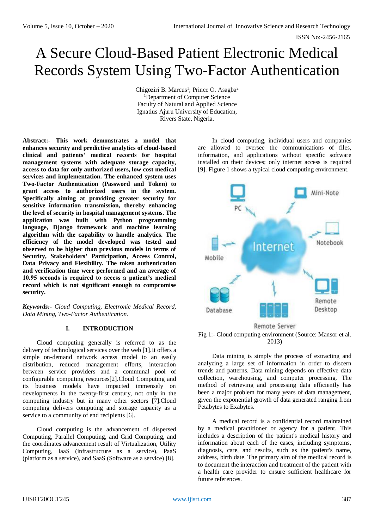# A Secure Cloud-Based Patient Electronic Medical Records System Using Two-Factor Authentication

Chigoziri B. Marcus<sup>1</sup>; Prince O. Asagba<sup>2</sup> <sup>1</sup>Department of Computer Science Faculty of Natural and Applied Science Ignatius Ajuru University of Education, Rivers State, Nigeria.

**Abstract:- This work demonstrates a model that enhances security and predictive analytics of cloud-based clinical and patients' medical records for hospital management systems with adequate storage capacity, access to data for only authorized users, low cost medical services and implementation. The enhanced system uses Two-Factor Authentication (Password and Token) to grant access to authorized users in the system. Specifically aiming at providing greater security for sensitive information transmission, thereby enhancing the level of security in hospital management systems. The application was built with Python programming language, Django framework and machine learning algorithm with the capability to handle analytics. The efficiency of the model developed was tested and observed to be higher than previous models in terms of Security, Stakeholders' Participation, Access Control, Data Privacy and Flexibility. The token authentication and verification time were performed and an average of 10.95 seconds is required to access a patient's medical record which is not significant enough to compromise security.**

*Keywords:- Cloud Computing, Electronic Medical Record, Data Mining, Two-Factor Authentication.* 

## **I. INTRODUCTION**

Cloud computing generally is referred to as the delivery of technological services over the web [1].It offers a simple on-demand network access model to an easily distribution, reduced management efforts, interaction between service providers and a communal pool of configurable computing resources[2].Cloud Computing and its business models have impacted immensely on developments in the twenty-first century, not only in the computing industry but in many other sectors [7].Cloud computing delivers computing and storage capacity as a service to a community of end recipients [6].

Cloud computing is the advancement of dispersed Computing, Parallel Computing, and Grid Computing, and the coordinates advancement result of Virtualization, Utility Computing, IaaS (infrastructure as a service), PaaS (platform as a service), and SaaS (Software as a service) [8].

In cloud computing, individual users and companies are allowed to oversee the communications of files, information, and applications without specific software installed on their devices; only internet access is required [9]. Figure 1 shows a typical cloud computing environment.



Fig 1:- Cloud computing environment (Source: Mansor et al. 2013)

Data mining is simply the process of extracting and analyzing a large set of information in order to discern trends and patterns. Data mining depends on effective data collection, warehousing, and computer processing. The method of retrieving and processing data efficiently has been a major problem for many years of data management, given the exponential growth of data generated ranging from Petabytes to Exabytes.

A medical record is a confidential record maintained by a medical practitioner or agency for a patient. This includes a description of the patient's medical history and information about each of the cases, including symptoms, diagnosis, care, and results, such as the patient's name, address, birth date. The primary aim of the medical record is to document the interaction and treatment of the patient with a health care provider to ensure sufficient healthcare for future references.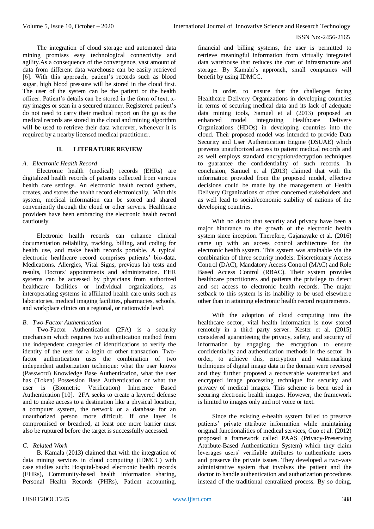The integration of cloud storage and automated data mining promises easy technological connectivity and agility.As a consequence of the convergence, vast amount of data from different data warehouse can be easily retrieved [6]. With this approach, patient's records such as blood sugar, high blood pressure will be stored in the cloud first. The user of the system can be the patient or the health officer. Patient's details can be stored in the form of text, xray images or scan in a secured manner. Registered patient's do not need to carry their medical report on the go as the medical records are stored in the cloud and mining algorithm will be used to retrieve their data wherever, whenever it is required by a nearby licensed medical practitioner.

# **II. LITERATURE REVIEW**

#### *A. Electronic Health Record*

Electronic health (medical) records (EHRs) are digitalized health records of patients collected from various health care settings. An electronic health record gathers, creates, and stores the health record electronically. With this system, medical information can be stored and shared conveniently through the cloud or other servers. Healthcare providers have been embracing the electronic health record cautiously.

Electronic health records can enhance clinical documentation reliability, tracking, billing, and coding for health use, and make health records portable. A typical electronic healthcare record comprises patients' bio-data, Medications, Allergies, Vital Signs, previous lab tests and results, Doctors' appointments and administration. EHR systems can be accessed by physicians from authorized healthcare facilities or individual organizations, as interoperating systems in affiliated health care units such as laboratories, medical imaging facilities, pharmacies, schools, and workplace clinics on a regional, or nationwide level.

#### *B. Two-Factor Authentication*

Two-Factor Authentication (2FA) is a security mechanism which requires two authentication method from the independent categories of identifications to verify the identity of the user for a login or other transaction. Twofactor authentication uses the combination of two independent authorization technique: what the user knows (Password) Knowledge Base Authentication, what the user has (Token) Possession Base Authentication or what the user is (Biometric Verification) Inherence Based Authentication [10]. 2FA seeks to create a layered defense and to make access to a destination like a physical location, a computer system, the network or a database for an unauthorized person more difficult. If one layer is compromised or breached, at least one more barrier must also be ruptured before the target is successfully accessed.

## *C. Related Work*

B. Kamala (2013) claimed that with the integration of data mining services in cloud computing (IDMCC) with case studies such: Hospital-based electronic health records (EHRs), Community-based health information sharing, Personal Health Records (PHRs), Patient accounting,

financial and billing systems, the user is permitted to retrieve meaningful information from virtually integrated data warehouse that reduces the cost of infrastructure and storage. By Kamala's approach, small companies will benefit by using IDMCC.

In order, to ensure that the challenges facing Healthcare Delivery Organizations in developing countries in terms of securing medical data and its lack of adequate data mining tools, Samuel et al (2013) proposed an enhanced model integrating Healthcare Delivery enhanced model integrating Healthcare Organizations (HDOs) in developing countries into the cloud. Their proposed model was intended to provide Data Security and User Authentication Engine (DSUAE) which prevents unauthorized access to patient medical records and as well employs standard encryption/decryption techniques to guarantee the confidentiality of such records. In conclusion, Samuel et al (2013) claimed that with the information provided from the proposed model, effective decisions could be made by the management of Health Delivery Organizations or other concerned stakeholders and as well lead to social/economic stability of nations of the developing countries.

With no doubt that security and privacy have been a major hindrance to the growth of the electronic health system since inception. Therefore, Gajanayake et al. (2016) came up with an access control architecture for the electronic health system. This system was attainable via the combination of three security models: Discretionary Access Control (DAC), Mandatory Access Control (MAC) and Role Based Access Control (RBAC). Their system provides healthcare practitioners and patients the privilege to detect and set access to electronic health records. The major setback to this system is its inability to be used elsewhere other than in attaining electronic health record requirements.

With the adoption of cloud computing into the healthcare sector, vital health information is now stored remotely in a third party server. Kester et al. (2015) considered guaranteeing the privacy, safety, and security of information by engaging the encryption to ensure confidentiality and authentication methods in the sector. In order, to achieve this, encryption and watermarking techniques of digital image data in the domain were reversed and they further proposed a recoverable watermarked and encrypted image processing technique for security and privacy of medical images. This scheme is been used in securing electronic health images. However, the framework is limited to images only and not voice or text.

Since the existing e-health system failed to preserve patients' private attribute information while maintaining original functionalities of medical services, Guo et al. (2012) proposed a framework called PAAS (Privacy-Preserving Attribute-Based Authentication System) which they claim leverages users' verifiable attributes to authenticate users and preserve the private issues. They developed a two-way administrative system that involves the patient and the doctor to handle authentication and authorization procedures instead of the traditional centralized process. By so doing,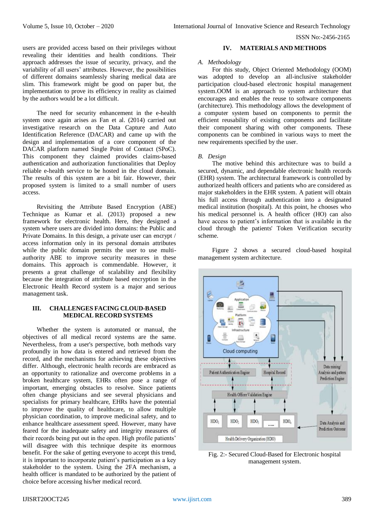users are provided access based on their privileges without revealing their identities and health conditions. Their approach addresses the issue of security, privacy, and the variability of all users' attributes. However, the possibilities of different domains seamlessly sharing medical data are slim. This framework might be good on paper but, the implementation to prove its efficiency in reality as claimed by the authors would be a lot difficult.

The need for security enhancement in the e-health system once again arises as Fan et al. (2014) carried out investigative research on the Data Capture and Auto Identification Reference (DACAR) and came up with the design and implementation of a core component of the DACAR platform named Single Point of Contact (SPoC). This component they claimed provides claims-based authentication and authorization functionalities that Deploy reliable e-health service to be hosted in the cloud domain. The results of this system are a bit fair. However, their proposed system is limited to a small number of users access.

Revisiting the Attribute Based Encryption (ABE) Technique as Kumar et al. (2013) proposed a new framework for electronic health. Here, they designed a system where users are divided into domains: the Public and Private Domains. In this design, a private user can encrypt / access information only in its personal domain attributes while the public domain permits the user to use multiauthority ABE to improve security measures in these domains. This approach is commendable. However, it presents a great challenge of scalability and flexibility because the integration of attribute based encryption in the Electronic Health Record system is a major and serious management task.

## **III. CHALLENGES FACING CLOUD-BASED MEDICAL RECORD SYSTEMS**

Whether the system is automated or manual, the objectives of all medical record systems are the same. Nevertheless, from a user's perspective, both methods vary profoundly in how data is entered and retrieved from the record, and the mechanisms for achieving these objectives differ. Although, electronic health records are embraced as an opportunity to rationalize and overcome problems in a broken healthcare system, EHRs often pose a range of important, emerging obstacles to resolve. Since patients often change physicians and see several physicians and specialists for primary healthcare, EHRs have the potential to improve the quality of healthcare, to allow multiple physician coordination, to improve medicinal safety, and to enhance healthcare assessment speed. However, many have feared for the inadequate safety and integrity measures of their records being put out in the open. High profile patients' will disagree with this technique despite its enormous benefit. For the sake of getting everyone to accept this trend, it is important to incorporate patient's participation as a key stakeholder to the system. Using the 2FA mechanism, a health officer is mandated to be authorized by the patient of choice before accessing his/her medical record.

## **IV. MATERIALS AND METHODS**

#### *A. Methodology*

For this study, Object Oriented Methodology (OOM) was adopted to develop an all-inclusive stakeholder participation cloud-based electronic hospital management system.OOM is an approach to system architecture that encourages and enables the reuse to software components (architecture). This methodology allows the development of a computer system based on components to permit the efficient reusability of existing components and facilitate their component sharing with other components. These components can be combined in various ways to meet the new requirements specified by the user.

## *B. Design*

The motive behind this architecture was to build a secured, dynamic, and dependable electronic health records (EHR) system. The architectural framework is controlled by authorized health officers and patients who are considered as major stakeholders in the EHR system. A patient will obtain his full access through authentication into a designated medical institution (hospital). At this point, he chooses who his medical personnel is. A health officer (HO) can also have access to patient's information that is available in the cloud through the patients' Token Verification security scheme.

Figure 2 shows a secured cloud-based hospital management system architecture.



Fig. 2:- Secured Cloud-Based for Electronic hospital management system.

## IJISRT20OCT245 [www.ijisrt.com](http://www.ijisrt.com/) 389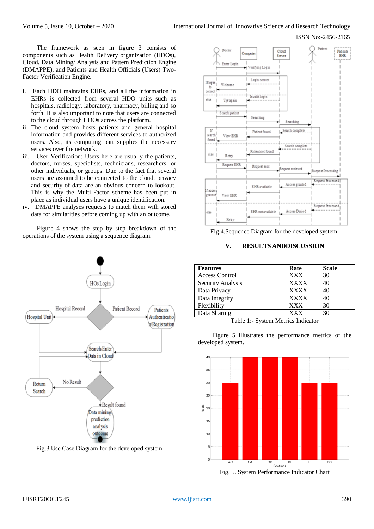The framework as seen in figure 3 consists of components such as Health Delivery organization (HDOs), Cloud, Data Mining/ Analysis and Pattern Prediction Engine (DMAPPE), and Patients and Health Officials (Users) Two-Factor Verification Engine.

- i. Each HDO maintains EHRs, and all the information in EHRs is collected from several HDO units such as hospitals, radiology, laboratory, pharmacy, billing and so forth. It is also important to note that users are connected to the cloud through HDOs across the platform.
- ii. The cloud system hosts patients and general hospital information and provides different services to authorized users. Also, its computing part supplies the necessary services over the network.
- iii. User Verification: Users here are usually the patients, doctors, nurses, specialists, technicians, researchers, or other individuals, or groups. Due to the fact that several users are assumed to be connected to the cloud, privacy and security of data are an obvious concern to lookout. This is why the Multi-Factor scheme has been put in place as individual users have a unique identification.
- iv. DMAPPE analyses requests to match them with stored data for similarities before coming up with an outcome.

Figure 4 shows the step by step breakdown of the operations of the system using a sequence diagram.



Fig.3.Use Case Diagram for the developed system



Fig.4.Sequence Diagram for the developed system.

# **V. RESULTS ANDDISCUSSION**

| <b>Features</b>       | Rate        | <b>Scale</b> |
|-----------------------|-------------|--------------|
| <b>Access Control</b> | <b>XXX</b>  | 30           |
| Security Analysis     | <b>XXXX</b> | 40           |
| Data Privacy          | <b>XXXX</b> | 40           |
| Data Integrity        | <b>XXXX</b> | 40           |
| Flexibility           | <b>XXX</b>  | 30           |
| Data Sharing          | <b>XXX</b>  | 30           |

Table 1:- System Metrics Indicator

Figure 5 illustrates the performance metrics of the developed system.



Fig. 5. System Performance Indicator Chart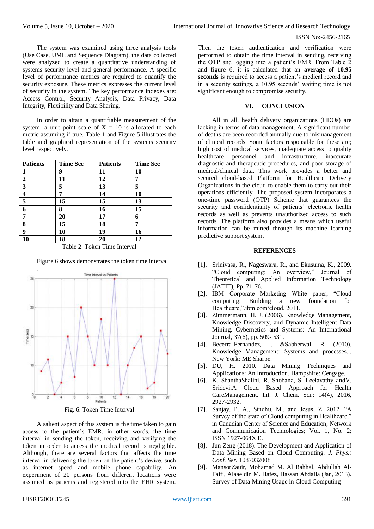The system was examined using three analysis tools (Use Case, UML and Sequence Diagram), the data collected were analyzed to create a quantitative understanding of systems security level and general performance. A specific level of performance metrics are required to quantify the security exposure. These metrics expresses the current level of security in the system. The key performance indexes are: Access Control, Security Analysis, Data Privacy, Data Integrity, Flexibility and Data Sharing.

In order to attain a quantifiable measurement of the system, a unit point scale of  $X = 10$  is allocated to each metric assuming if true. Table 1 and Figure 5 illustrates the table and graphical representation of the systems security level respectively.

| <b>Patients</b>         | <b>Time Sec</b> | <b>Patients</b> | <b>Time Sec</b> |
|-------------------------|-----------------|-----------------|-----------------|
|                         | 9               | 11              | 10              |
| $\overline{2}$          | 11              | 12              | 7               |
| $\overline{\mathbf{3}}$ | 5               | 13              | 5               |
| $\overline{\mathbf{4}}$ |                 | 14              | 10              |
| 5                       | 15              | 15              | 13              |
| 6                       | 8               | 16              | 15              |
| 7                       | 20              | 17              | 6               |
| 8                       | 15              | 18              | 7               |
| 9                       | 10              | 19              | 16              |
| 10                      | 18              | 20              | 12              |

Table 2: Token Time Interval

Figure 6 shows demonstrates the token time interval



Fig. 6. Token Time Interval

A salient aspect of this system is the time taken to gain access to the patient's EMR, in other words, the time interval in sending the token, receiving and verifying the token in order to access the medical record is negligible. Although, there are several factors that affects the time interval in delivering the token on the patient's device, such as internet speed and mobile phone capability. An experiment of 20 persons from different locations were assumed as patients and registered into the EHR system.

Then the token authentication and verification were performed to obtain the time interval in sending, receiving the OTP and logging into a patient's EMR. From Table 2 and figure 6, it is calculated that an **average of 10.95 seconds** is required to access a patient's medical record and in a security settings, a 10.95 seconds' waiting time is not significant enough to compromise security.

## **VI. CONCLUSION**

All in all, health delivery organizations (HDOs) are lacking in terms of data management. A significant number of deaths are been recorded annually due to mismanagement of clinical records. Some factors responsible for these are; high cost of medical services, inadequate access to quality healthcare personnel and infrastructure, inaccurate diagnostic and therapeutic procedures, and poor storage of medical/clinical data. This work provides a better and secured cloud-based Platform for Healthcare Delivery Organizations in the cloud to enable them to carry out their operations efficiently. The proposed system incorporates a one-time password (OTP) Scheme that guarantees the security and confidentiality of patients' electronic health records as well as prevents unauthorized access to such records. The platform also provides a means which useful information can be mined through its machine learning predictive support system.

## **REFERENCES**

- [1]. Srinivasa, R., Nageswara, R., and Ekusuma, K., 2009. "Cloud computing: An overview," Journal of Theoretical and Applied Information Technology (JATIT), Pp. 71-76.
- [2]. IBM Corporate Marketing White paper, "Cloud computing: Building a new foundation for Healthcare,".ibm.com/cloud, 2011.
- [3]. Zimmermann, H. J. (2006). Knowledge Management, Knowledge Discovery, and Dynamic Intelligent Data Mining. Cybernetics and Systems: An International Journal, 37(6), pp. 509- 531.
- [4]. Becerra-Fernandez, I. &Sabherwal, R. (2010). Knowledge Management: Systems and processes... New York: ME Sharpe.
- [5]. DU, H. 2010. Data Mining Techniques and Applications: An Introduction. Hampshire: Cengage.
- [6]. K. ShanthaShalini, R. Shobana, S. Leelavathy andV. Sridevi**.**A Cloud Based Approach for Health CareManagement**.** Int. J. Chem. Sci.: 14(4), 2016, 2927-2932.
- [7]. Sanjay, P. A., Sindhu, M., and Jesus, Z. 2012. "A Survey of the state of Cloud computing in Healthcare," in Canadian Center of Science and Education, Network and Communication Technologies; Vol. 1, No. 2; ISSN 1927-064X E.
- [8]. Jun Zeng (2018). The Development and Application of Data Mining Based on Cloud Computing. *J. Phys.: Conf. Ser.* 1087032008
- [9]. MansorZauir, Mohamad M. Al Rahhal, Abdullah Al-Faifi, Alaaeldin M. Hafez, Hassan Abdalla (Jan, 2013). Survey of Data Mining Usage in Cloud Computing